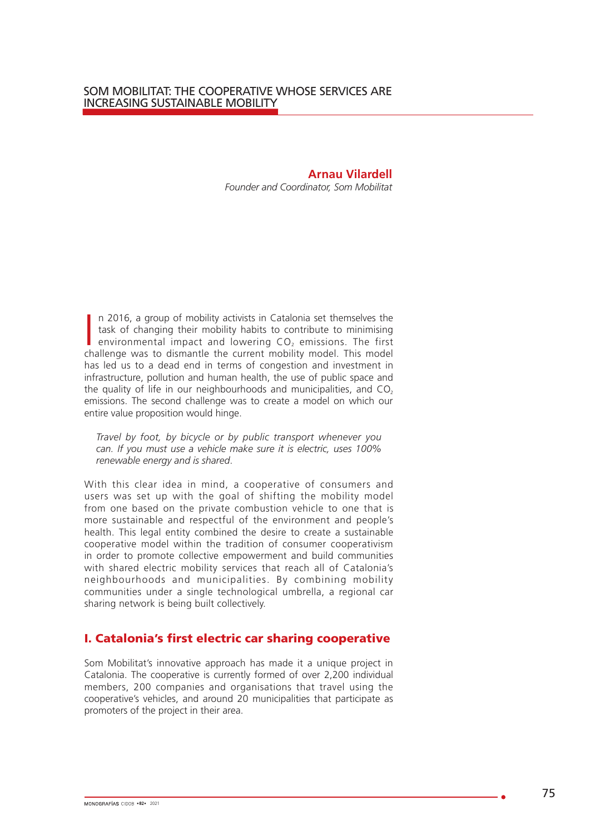**Arnau Vilardell** *Founder and Coordinator, Som Mobilitat* 

In 2016, a group of mobility activists in Catalonia set themselves the task of changing their mobility habits to contribute to minimising environmental impact and lowering  $CO<sub>2</sub>$  emissions. The first challenge was to n 2016, a group of mobility activists in Catalonia set themselves the task of changing their mobility habits to contribute to minimising environmental impact and lowering  $CO<sub>2</sub>$  emissions. The first has led us to a dead end in terms of congestion and investment in infrastructure, pollution and human health, the use of public space and the quality of life in our neighbourhoods and municipalities, and  $CO<sub>2</sub>$ emissions. The second challenge was to create a model on which our entire value proposition would hinge.

*Travel by foot, by bicycle or by public transport whenever you can. If you must use a vehicle make sure it is electric, uses 100% renewable energy and is shared*.

With this clear idea in mind, a cooperative of consumers and users was set up with the goal of shifting the mobility model from one based on the private combustion vehicle to one that is more sustainable and respectful of the environment and people's health. This legal entity combined the desire to create a sustainable cooperative model within the tradition of consumer cooperativism in order to promote collective empowerment and build communities with shared electric mobility services that reach all of Catalonia's neighbourhoods and municipalities. By combining mobility communities under a single technological umbrella, a regional car sharing network is being built collectively.

## I. Catalonia's first electric car sharing cooperative

Som Mobilitat's innovative approach has made it a unique project in Catalonia. The cooperative is currently formed of over 2,200 individual members, 200 companies and organisations that travel using the cooperative's vehicles, and around 20 municipalities that participate as promoters of the project in their area.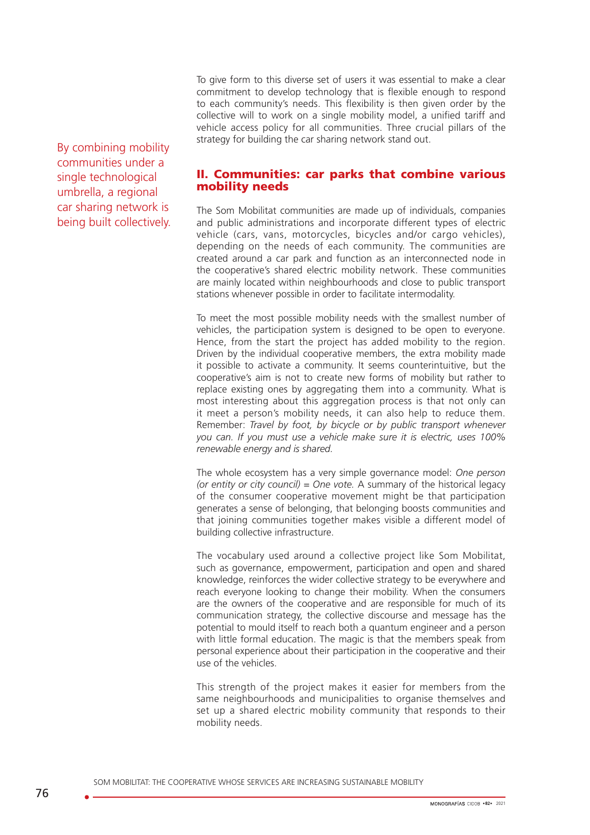To give form to this diverse set of users it was essential to make a clear commitment to develop technology that is flexible enough to respond to each community's needs. This flexibility is then given order by the collective will to work on a single mobility model, a unified tariff and vehicle access policy for all communities. Three crucial pillars of the strategy for building the car sharing network stand out.

By combining mobility communities under a single technological umbrella, a regional car sharing network is being built collectively.

## II. Communities: car parks that combine various mobility needs

The Som Mobilitat communities are made up of individuals, companies and public administrations and incorporate different types of electric vehicle (cars, vans, motorcycles, bicycles and/or cargo vehicles), depending on the needs of each community. The communities are created around a car park and function as an interconnected node in the cooperative's shared electric mobility network. These communities are mainly located within neighbourhoods and close to public transport stations whenever possible in order to facilitate intermodality.

To meet the most possible mobility needs with the smallest number of vehicles, the participation system is designed to be open to everyone. Hence, from the start the project has added mobility to the region. Driven by the individual cooperative members, the extra mobility made it possible to activate a community. It seems counterintuitive, but the cooperative's aim is not to create new forms of mobility but rather to replace existing ones by aggregating them into a community. What is most interesting about this aggregation process is that not only can it meet a person's mobility needs, it can also help to reduce them. Remember: *Travel by foot, by bicycle or by public transport whenever you can. If you must use a vehicle make sure it is electric, uses 100% renewable energy and is shared.*

The whole ecosystem has a very simple governance model: *One person (or entity or city council) = One vote.* A summary of the historical legacy of the consumer cooperative movement might be that participation generates a sense of belonging, that belonging boosts communities and that joining communities together makes visible a different model of building collective infrastructure.

The vocabulary used around a collective project like Som Mobilitat, such as governance, empowerment, participation and open and shared knowledge, reinforces the wider collective strategy to be everywhere and reach everyone looking to change their mobility. When the consumers are the owners of the cooperative and are responsible for much of its communication strategy, the collective discourse and message has the potential to mould itself to reach both a quantum engineer and a person with little formal education. The magic is that the members speak from personal experience about their participation in the cooperative and their use of the vehicles.

This strength of the project makes it easier for members from the same neighbourhoods and municipalities to organise themselves and set up a shared electric mobility community that responds to their mobility needs.

SOM MOBILITAT: THE COOPERATIVE WHOSE SERVICES ARE INCREASING SUSTAINABLE MOBILITY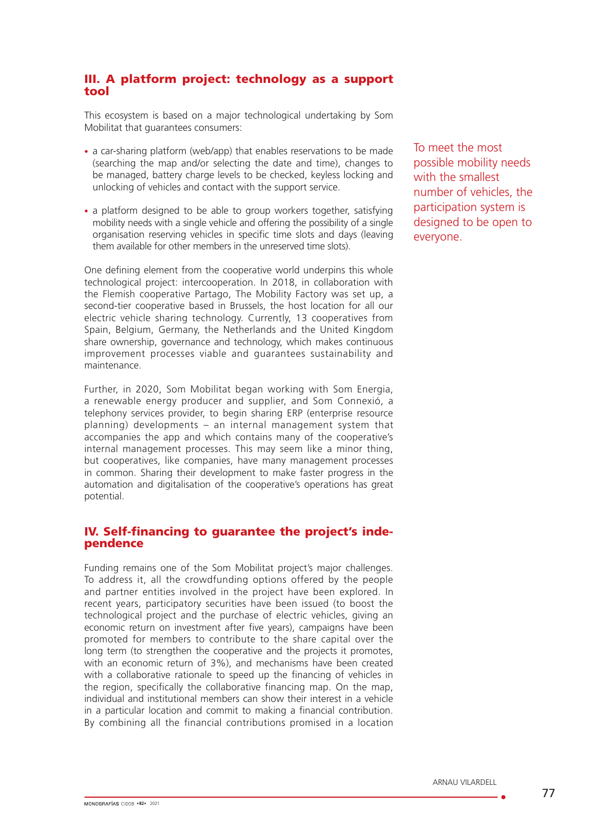## III. A platform project: technology as a support tool

This ecosystem is based on a major technological undertaking by Som Mobilitat that guarantees consumers:

- a car-sharing platform (web/app) that enables reservations to be made (searching the map and/or selecting the date and time), changes to be managed, battery charge levels to be checked, keyless locking and unlocking of vehicles and contact with the support service.
- a platform designed to be able to group workers together, satisfying mobility needs with a single vehicle and offering the possibility of a single organisation reserving vehicles in specific time slots and days (leaving them available for other members in the unreserved time slots).

One defining element from the cooperative world underpins this whole technological project: intercooperation. In 2018, in collaboration with the Flemish cooperative Partago, The Mobility Factory was set up, a second-tier cooperative based in Brussels, the host location for all our electric vehicle sharing technology. Currently, 13 cooperatives from Spain, Belgium, Germany, the Netherlands and the United Kingdom share ownership, governance and technology, which makes continuous improvement processes viable and guarantees sustainability and maintenance.

Further, in 2020, Som Mobilitat began working with Som Energia, a renewable energy producer and supplier, and Som Connexió, a telephony services provider, to begin sharing ERP (enterprise resource planning) developments – an internal management system that accompanies the app and which contains many of the cooperative's internal management processes. This may seem like a minor thing, but cooperatives, like companies, have many management processes in common. Sharing their development to make faster progress in the automation and digitalisation of the cooperative's operations has great potential.

## IV. Self-financing to guarantee the project's inde- pendence

Funding remains one of the Som Mobilitat project's major challenges. To address it, all the crowdfunding options offered by the people and partner entities involved in the project have been explored. In recent years, participatory securities have been issued (to boost the technological project and the purchase of electric vehicles, giving an economic return on investment after five years), campaigns have been promoted for members to contribute to the share capital over the long term (to strengthen the cooperative and the projects it promotes, with an economic return of 3%), and mechanisms have been created with a collaborative rationale to speed up the financing of vehicles in the region, specifically the collaborative financing map. On the map, individual and institutional members can show their interest in a vehicle in a particular location and commit to making a financial contribution. By combining all the financial contributions promised in a location To meet the most possible mobility needs with the smallest number of vehicles, the participation system is designed to be open to everyone.